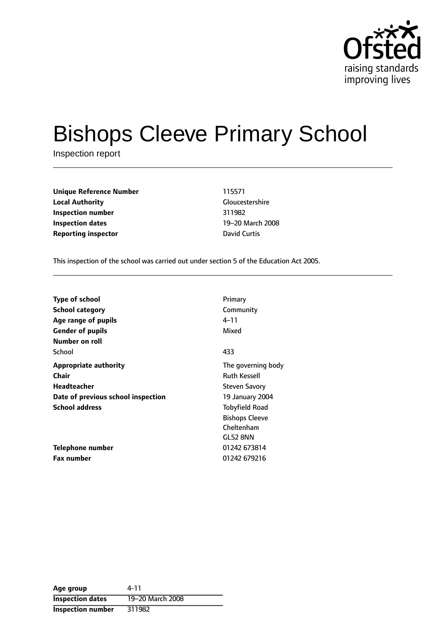

# Bishops Cleeve Primary School

Inspection report

| <b>Unique Reference Number</b> | 115571       |
|--------------------------------|--------------|
| <b>Local Authority</b>         | Gloucestersh |
| Inspection number              | 311982       |
| Inspection dates               | 19-20 March  |
| <b>Reporting inspector</b>     | David Curtis |

**Gloucestershire** 19-20 March 2008

This inspection of the school was carried out under section 5 of the Education Act 2005.

| Type of school                     | Primary               |
|------------------------------------|-----------------------|
| <b>School category</b>             | Community             |
| Age range of pupils                | 4–11                  |
| <b>Gender of pupils</b>            | Mixed                 |
| Number on roll                     |                       |
| School                             | 433                   |
| <b>Appropriate authority</b>       | The governing body    |
| Chair                              | <b>Ruth Kessell</b>   |
| Headteacher                        | <b>Steven Savory</b>  |
| Date of previous school inspection | 19 January 2004       |
| <b>School address</b>              | <b>Tobyfield Road</b> |
|                                    | <b>Bishops Cleeve</b> |
|                                    | Cheltenham            |
|                                    | <b>GL52 8NN</b>       |
| Telephone number                   | 01242 673814          |
| <b>Fax number</b>                  | 01242 679216          |

| Age group                | 4-11             |
|--------------------------|------------------|
| <b>Inspection dates</b>  | 19-20 March 2008 |
| <b>Inspection number</b> | 311982           |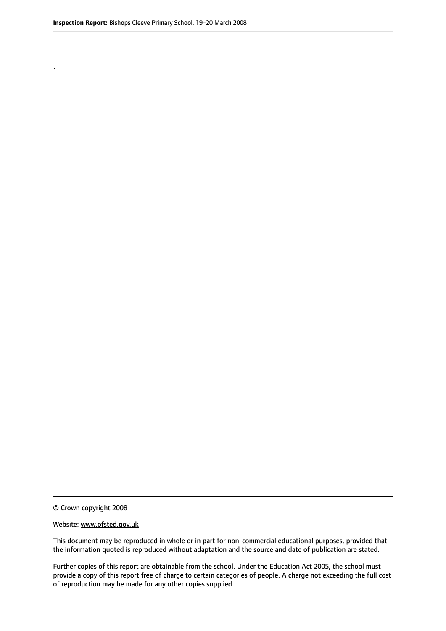.

© Crown copyright 2008

#### Website: www.ofsted.gov.uk

This document may be reproduced in whole or in part for non-commercial educational purposes, provided that the information quoted is reproduced without adaptation and the source and date of publication are stated.

Further copies of this report are obtainable from the school. Under the Education Act 2005, the school must provide a copy of this report free of charge to certain categories of people. A charge not exceeding the full cost of reproduction may be made for any other copies supplied.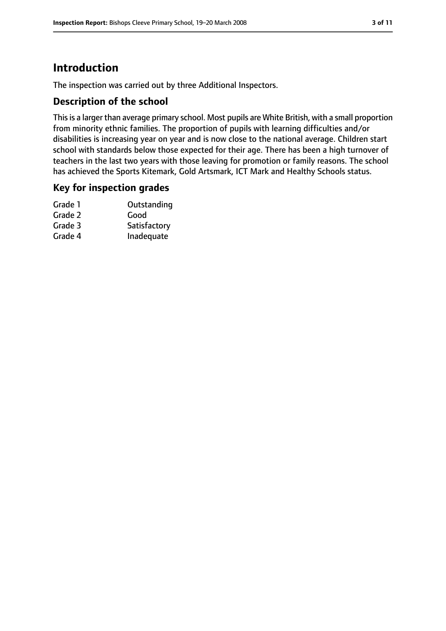### **Introduction**

The inspection was carried out by three Additional Inspectors.

### **Description of the school**

This is a larger than average primary school. Most pupils are White British, with a small proportion from minority ethnic families. The proportion of pupils with learning difficulties and/or disabilities is increasing year on year and is now close to the national average. Children start school with standards below those expected for their age. There has been a high turnover of teachers in the last two years with those leaving for promotion or family reasons. The school has achieved the Sports Kitemark, Gold Artsmark, ICT Mark and Healthy Schools status.

#### **Key for inspection grades**

| Grade 1 | Outstanding  |
|---------|--------------|
| Grade 2 | Good         |
| Grade 3 | Satisfactory |
| Grade 4 | Inadequate   |
|         |              |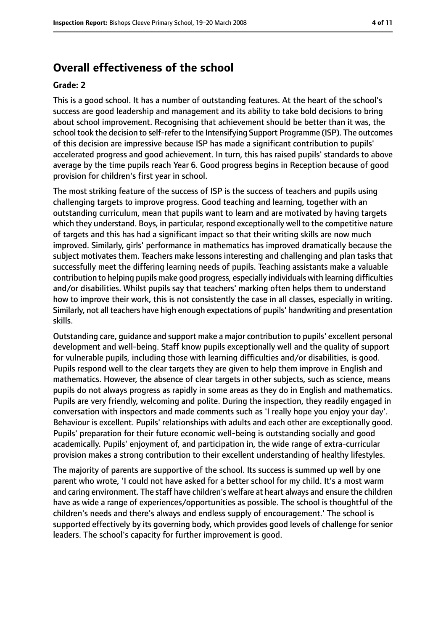### **Overall effectiveness of the school**

#### **Grade: 2**

This is a good school. It has a number of outstanding features. At the heart of the school's success are good leadership and management and its ability to take bold decisions to bring about school improvement. Recognising that achievement should be better than it was, the school took the decision to self-refer to the Intensifying Support Programme (ISP). The outcomes of this decision are impressive because ISP has made a significant contribution to pupils' accelerated progress and good achievement. In turn, this has raised pupils' standards to above average by the time pupils reach Year 6. Good progress begins in Reception because of good provision for children's first year in school.

The most striking feature of the success of ISP is the success of teachers and pupils using challenging targets to improve progress. Good teaching and learning, together with an outstanding curriculum, mean that pupils want to learn and are motivated by having targets which they understand. Boys, in particular, respond exceptionally well to the competitive nature of targets and this has had a significant impact so that their writing skills are now much improved. Similarly, girls' performance in mathematics has improved dramatically because the subject motivates them. Teachers make lessons interesting and challenging and plan tasks that successfully meet the differing learning needs of pupils. Teaching assistants make a valuable contribution to helping pupils make good progress, especially individuals with learning difficulties and/or disabilities. Whilst pupils say that teachers' marking often helps them to understand how to improve their work, this is not consistently the case in all classes, especially in writing. Similarly, not all teachers have high enough expectations of pupils' handwriting and presentation skills.

Outstanding care, guidance and support make a major contribution to pupils' excellent personal development and well-being. Staff know pupils exceptionally well and the quality of support for vulnerable pupils, including those with learning difficulties and/or disabilities, is good. Pupils respond well to the clear targets they are given to help them improve in English and mathematics. However, the absence of clear targets in other subjects, such as science, means pupils do not always progress as rapidly in some areas as they do in English and mathematics. Pupils are very friendly, welcoming and polite. During the inspection, they readily engaged in conversation with inspectors and made comments such as 'I really hope you enjoy your day'. Behaviour is excellent. Pupils' relationships with adults and each other are exceptionally good. Pupils' preparation for their future economic well-being is outstanding socially and good academically. Pupils' enjoyment of, and participation in, the wide range of extra-curricular provision makes a strong contribution to their excellent understanding of healthy lifestyles.

The majority of parents are supportive of the school. Its success is summed up well by one parent who wrote, 'I could not have asked for a better school for my child. It's a most warm and caring environment. The staff have children's welfare at heart always and ensure the children have as wide a range of experiences/opportunities as possible. The school is thoughtful of the children's needs and there's always and endless supply of encouragement.' The school is supported effectively by its governing body, which provides good levels of challenge for senior leaders. The school's capacity for further improvement is good.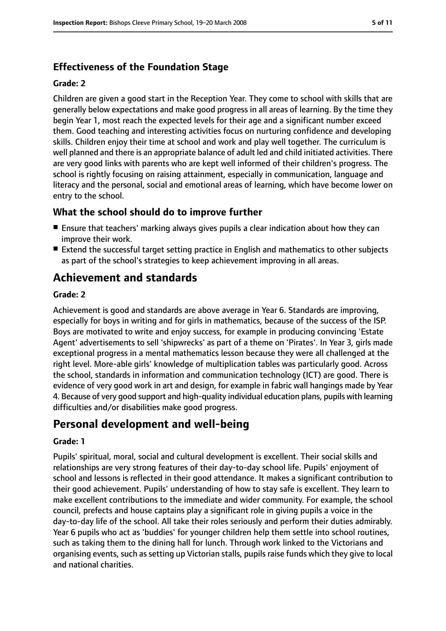### **Effectiveness of the Foundation Stage**

#### **Grade: 2**

Children are given a good start in the Reception Year. They come to school with skills that are generally below expectations and make good progress in all areas of learning. By the time they begin Year 1, most reach the expected levels for their age and a significant number exceed them. Good teaching and interesting activities focus on nurturing confidence and developing skills. Children enjoy their time at school and work and play well together. The curriculum is well planned and there is an appropriate balance of adult led and child initiated activities. There are very good links with parents who are kept well informed of their children's progress. The school is rightly focusing on raising attainment, especially in communication, language and literacy and the personal, social and emotional areas of learning, which have become lower on entry to the school.

### **What the school should do to improve further**

- Ensure that teachers' marking always gives pupils a clear indication about how they can improve their work.
- Extend the successful target setting practice in English and mathematics to other subjects as part of the school's strategies to keep achievement improving in all areas.

### **Achievement and standards**

#### **Grade: 2**

Achievement is good and standards are above average in Year 6. Standards are improving, especially for boys in writing and for girls in mathematics, because of the success of the ISP. Boys are motivated to write and enjoy success, for example in producing convincing 'Estate Agent' advertisements to sell 'shipwrecks' as part of a theme on 'Pirates'. In Year 3, girls made exceptional progress in a mental mathematics lesson because they were all challenged at the right level. More-able girls' knowledge of multiplication tables was particularly good. Across the school, standards in information and communication technology (ICT) are good. There is evidence of very good work in art and design, for example in fabric wall hangings made by Year 4. Because of very good support and high-quality individual education plans, pupils with learning difficulties and/or disabilities make good progress.

### **Personal development and well-being**

#### **Grade: 1**

Pupils' spiritual, moral, social and cultural development is excellent. Their social skills and relationships are very strong features of their day-to-day school life. Pupils' enjoyment of school and lessons is reflected in their good attendance. It makes a significant contribution to their good achievement. Pupils' understanding of how to stay safe is excellent. They learn to make excellent contributions to the immediate and wider community. For example, the school council, prefects and house captains play a significant role in giving pupils a voice in the day-to-day life of the school. All take their roles seriously and perform their duties admirably. Year 6 pupils who act as 'buddies' for younger children help them settle into school routines, such as taking them to the dining hall for lunch. Through work linked to the Victorians and organising events, such as setting up Victorian stalls, pupils raise funds which they give to local and national charities.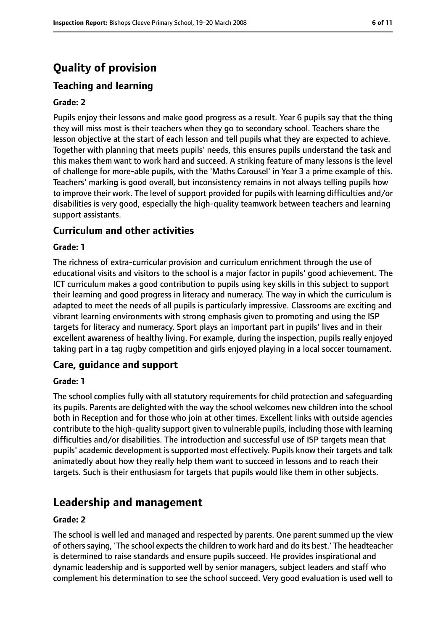## **Quality of provision**

### **Teaching and learning**

#### **Grade: 2**

Pupils enjoy their lessons and make good progress as a result. Year 6 pupils say that the thing they will miss most is their teachers when they go to secondary school. Teachers share the lesson objective at the start of each lesson and tell pupils what they are expected to achieve. Together with planning that meets pupils' needs, this ensures pupils understand the task and this makes them want to work hard and succeed. A striking feature of many lessons is the level of challenge for more-able pupils, with the 'Maths Carousel' in Year 3 a prime example of this. Teachers' marking is good overall, but inconsistency remains in not always telling pupils how to improve their work. The level of support provided for pupils with learning difficulties and/or disabilities is very good, especially the high-quality teamwork between teachers and learning support assistants.

#### **Curriculum and other activities**

#### **Grade: 1**

The richness of extra-curricular provision and curriculum enrichment through the use of educational visits and visitors to the school is a major factor in pupils' good achievement. The ICT curriculum makes a good contribution to pupils using key skills in this subject to support their learning and good progress in literacy and numeracy. The way in which the curriculum is adapted to meet the needs of all pupils is particularly impressive. Classrooms are exciting and vibrant learning environments with strong emphasis given to promoting and using the ISP targets for literacy and numeracy. Sport plays an important part in pupils' lives and in their excellent awareness of healthy living. For example, during the inspection, pupils really enjoyed taking part in a tag rugby competition and girls enjoyed playing in a local soccer tournament.

#### **Care, guidance and support**

#### **Grade: 1**

The school complies fully with all statutory requirements for child protection and safeguarding its pupils. Parents are delighted with the way the school welcomes new children into the school both in Reception and for those who join at other times. Excellent links with outside agencies contribute to the high-quality support given to vulnerable pupils, including those with learning difficulties and/or disabilities. The introduction and successful use of ISP targets mean that pupils' academic development is supported most effectively. Pupils know their targets and talk animatedly about how they really help them want to succeed in lessons and to reach their targets. Such is their enthusiasm for targets that pupils would like them in other subjects.

### **Leadership and management**

#### **Grade: 2**

The school is well led and managed and respected by parents. One parent summed up the view of otherssaying, 'The school expectsthe children to work hard and do its best.' The headteacher is determined to raise standards and ensure pupils succeed. He provides inspirational and dynamic leadership and is supported well by senior managers, subject leaders and staff who complement his determination to see the school succeed. Very good evaluation is used well to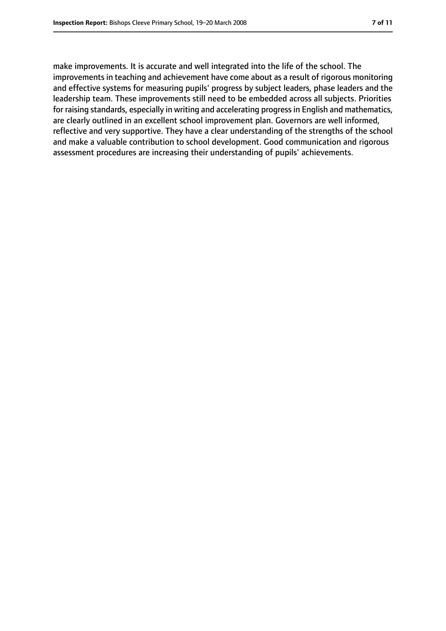make improvements. It is accurate and well integrated into the life of the school. The improvements in teaching and achievement have come about as a result of rigorous monitoring and effective systems for measuring pupils' progress by subject leaders, phase leaders and the leadership team. These improvements still need to be embedded across all subjects. Priorities for raising standards, especially in writing and accelerating progress in English and mathematics, are clearly outlined in an excellent school improvement plan. Governors are well informed, reflective and very supportive. They have a clear understanding of the strengths of the school and make a valuable contribution to school development. Good communication and rigorous assessment procedures are increasing their understanding of pupils' achievements.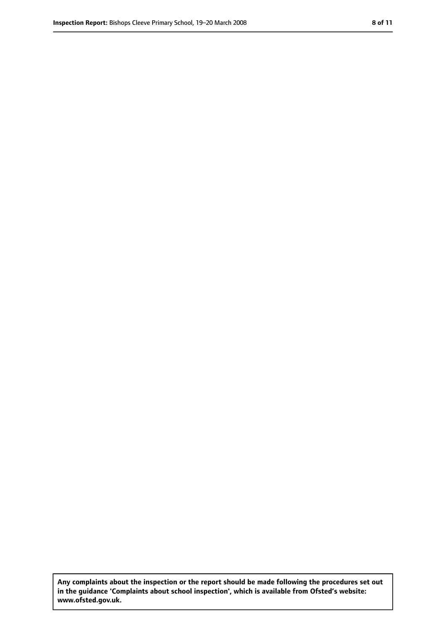**Any complaints about the inspection or the report should be made following the procedures set out in the guidance 'Complaints about school inspection', which is available from Ofsted's website: www.ofsted.gov.uk.**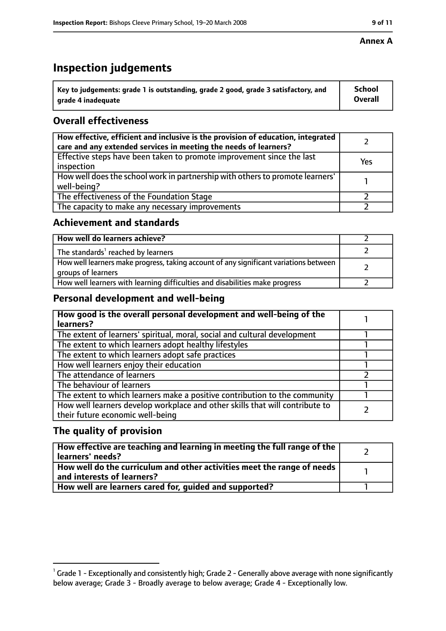### **Inspection judgements**

| $^{\backprime}$ Key to judgements: grade 1 is outstanding, grade 2 good, grade 3 satisfactory, and | <b>School</b>  |
|----------------------------------------------------------------------------------------------------|----------------|
| arade 4 inadequate                                                                                 | <b>Overall</b> |

### **Overall effectiveness**

| How effective, efficient and inclusive is the provision of education, integrated<br>care and any extended services in meeting the needs of learners? |     |
|------------------------------------------------------------------------------------------------------------------------------------------------------|-----|
| Effective steps have been taken to promote improvement since the last<br>inspection                                                                  | Yes |
| How well does the school work in partnership with others to promote learners'<br>well-being?                                                         |     |
| The effectiveness of the Foundation Stage                                                                                                            |     |
| The capacity to make any necessary improvements                                                                                                      |     |

### **Achievement and standards**

| How well do learners achieve?                                                                               |  |
|-------------------------------------------------------------------------------------------------------------|--|
| The standards <sup>1</sup> reached by learners                                                              |  |
| How well learners make progress, taking account of any significant variations between<br>groups of learners |  |
| How well learners with learning difficulties and disabilities make progress                                 |  |

### **Personal development and well-being**

| How good is the overall personal development and well-being of the<br>learners?                                  |  |
|------------------------------------------------------------------------------------------------------------------|--|
| The extent of learners' spiritual, moral, social and cultural development                                        |  |
| The extent to which learners adopt healthy lifestyles                                                            |  |
| The extent to which learners adopt safe practices                                                                |  |
| How well learners enjoy their education                                                                          |  |
| The attendance of learners                                                                                       |  |
| The behaviour of learners                                                                                        |  |
| The extent to which learners make a positive contribution to the community                                       |  |
| How well learners develop workplace and other skills that will contribute to<br>their future economic well-being |  |

### **The quality of provision**

| How effective are teaching and learning in meeting the full range of the<br>learners' needs?                        |  |
|---------------------------------------------------------------------------------------------------------------------|--|
| $\mid$ How well do the curriculum and other activities meet the range of needs $\mid$<br>and interests of learners? |  |
| How well are learners cared for, quided and supported?                                                              |  |

 $^1$  Grade 1 - Exceptionally and consistently high; Grade 2 - Generally above average with none significantly below average; Grade 3 - Broadly average to below average; Grade 4 - Exceptionally low.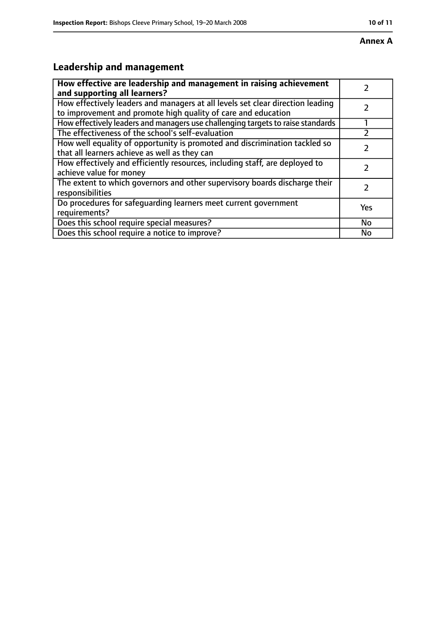## **Leadership and management**

| How effective are leadership and management in raising achievement<br>and supporting all learners?                                              |     |
|-------------------------------------------------------------------------------------------------------------------------------------------------|-----|
| How effectively leaders and managers at all levels set clear direction leading<br>to improvement and promote high quality of care and education |     |
| How effectively leaders and managers use challenging targets to raise standards                                                                 |     |
| The effectiveness of the school's self-evaluation                                                                                               |     |
| How well equality of opportunity is promoted and discrimination tackled so<br>that all learners achieve as well as they can                     |     |
| How effectively and efficiently resources, including staff, are deployed to<br>achieve value for money                                          |     |
| The extent to which governors and other supervisory boards discharge their<br>responsibilities                                                  |     |
| Do procedures for safequarding learners meet current government<br>requirements?                                                                | Yes |
| Does this school require special measures?                                                                                                      | No  |
| Does this school require a notice to improve?                                                                                                   | No  |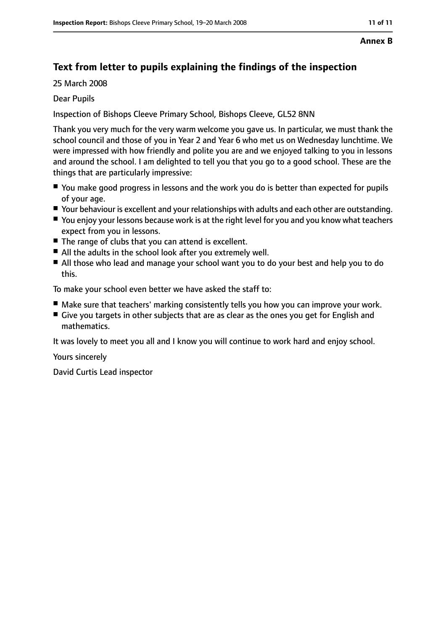#### **Annex B**

### **Text from letter to pupils explaining the findings of the inspection**

25 March 2008

#### Dear Pupils

Inspection of Bishops Cleeve Primary School, Bishops Cleeve, GL52 8NN

Thank you very much for the very warm welcome you gave us. In particular, we must thank the school council and those of you in Year 2 and Year 6 who met us on Wednesday lunchtime. We were impressed with how friendly and polite you are and we enjoyed talking to you in lessons and around the school. I am delighted to tell you that you go to a good school. These are the things that are particularly impressive:

- You make good progress in lessons and the work you do is better than expected for pupils of your age.
- Your behaviour is excellent and your relationships with adults and each other are outstanding.
- You enjoy your lessons because work is at the right level for you and you know what teachers expect from you in lessons.
- The range of clubs that you can attend is excellent.
- All the adults in the school look after you extremely well.
- All those who lead and manage your school want you to do your best and help you to do this.

To make your school even better we have asked the staff to:

- Make sure that teachers' marking consistently tells you how you can improve your work.
- Give you targets in other subjects that are as clear as the ones you get for English and mathematics.

It was lovely to meet you all and I know you will continue to work hard and enjoy school.

Yours sincerely

David Curtis Lead inspector